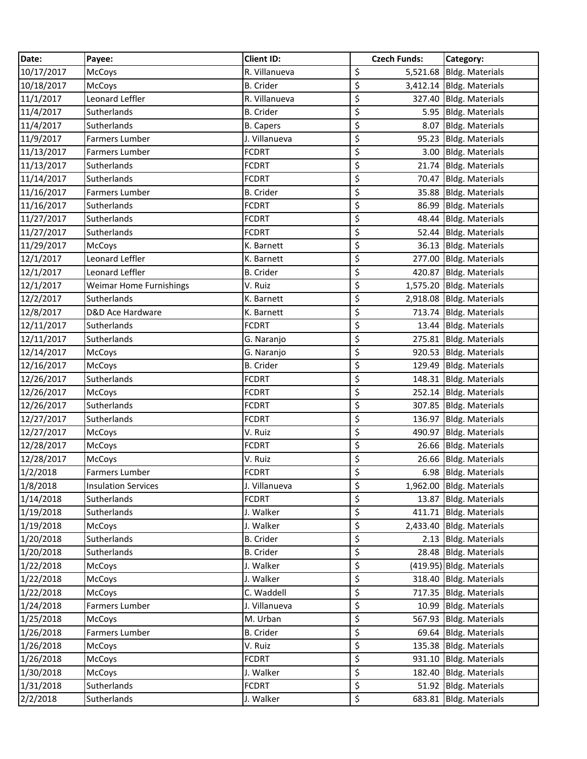| Date:      | Payee:                         | <b>Client ID:</b> | <b>Czech Funds:</b> | Category:                |
|------------|--------------------------------|-------------------|---------------------|--------------------------|
| 10/17/2017 | McCoys                         | R. Villanueva     | \$                  | 5,521.68 Bldg. Materials |
| 10/18/2017 | McCoys                         | <b>B.</b> Crider  | \$                  | 3,412.14 Bldg. Materials |
| 11/1/2017  | Leonard Leffler                | R. Villanueva     | \$                  | 327.40 Bldg. Materials   |
| 11/4/2017  | Sutherlands                    | <b>B.</b> Crider  | \$                  | 5.95 Bldg. Materials     |
| 11/4/2017  | Sutherlands                    | <b>B.</b> Capers  | \$                  | 8.07 Bldg. Materials     |
| 11/9/2017  | Farmers Lumber                 | J. Villanueva     | \$                  | 95.23 Bldg. Materials    |
| 11/13/2017 | <b>Farmers Lumber</b>          | <b>FCDRT</b>      | \$                  | 3.00 Bldg. Materials     |
| 11/13/2017 | Sutherlands                    | <b>FCDRT</b>      | \$                  | 21.74 Bldg. Materials    |
| 11/14/2017 | Sutherlands                    | <b>FCDRT</b>      | \$                  | 70.47 Bldg. Materials    |
| 11/16/2017 | Farmers Lumber                 | <b>B.</b> Crider  | \$                  | 35.88 Bldg. Materials    |
| 11/16/2017 | Sutherlands                    | <b>FCDRT</b>      | \$                  | 86.99 Bldg. Materials    |
| 11/27/2017 | Sutherlands                    | <b>FCDRT</b>      | \$                  | 48.44 Bldg. Materials    |
| 11/27/2017 | Sutherlands                    | <b>FCDRT</b>      | \$                  | 52.44 Bldg. Materials    |
| 11/29/2017 | McCoys                         | K. Barnett        | \$                  | 36.13 Bldg. Materials    |
| 12/1/2017  | Leonard Leffler                | K. Barnett        | \$                  | 277.00 Bldg. Materials   |
| 12/1/2017  | Leonard Leffler                | <b>B.</b> Crider  | \$<br>420.87        | <b>Bldg. Materials</b>   |
| 12/1/2017  | <b>Weimar Home Furnishings</b> | V. Ruiz           | \$                  | 1,575.20 Bldg. Materials |
| 12/2/2017  | Sutherlands                    | K. Barnett        | \$                  | 2,918.08 Bldg. Materials |
| 12/8/2017  | D&D Ace Hardware               | K. Barnett        | \$                  | 713.74 Bldg. Materials   |
| 12/11/2017 | Sutherlands                    | <b>FCDRT</b>      | \$                  | 13.44 Bldg. Materials    |
| 12/11/2017 | Sutherlands                    | G. Naranjo        | \$                  | 275.81 Bldg. Materials   |
| 12/14/2017 | McCoys                         | G. Naranjo        | \$                  | 920.53 Bldg. Materials   |
| 12/16/2017 | McCoys                         | <b>B.</b> Crider  | \$                  | 129.49 Bldg. Materials   |
| 12/26/2017 | Sutherlands                    | <b>FCDRT</b>      | \$                  | 148.31 Bldg. Materials   |
| 12/26/2017 | McCoys                         | <b>FCDRT</b>      | \$                  | 252.14 Bldg. Materials   |
| 12/26/2017 | Sutherlands                    | <b>FCDRT</b>      | \$                  | 307.85 Bldg. Materials   |
| 12/27/2017 | Sutherlands                    | <b>FCDRT</b>      | \$                  | 136.97 Bldg. Materials   |
| 12/27/2017 | McCoys                         | V. Ruiz           | \$                  | 490.97 Bldg. Materials   |
| 12/28/2017 | McCoys                         | <b>FCDRT</b>      | \$                  | 26.66 Bldg. Materials    |
| 12/28/2017 | McCoys                         | V. Ruiz           | \$                  | 26.66 Bldg. Materials    |
| 1/2/2018   | Farmers Lumber                 | <b>FCDRT</b>      | \$                  | 6.98 Bldg. Materials     |
| 1/8/2018   | <b>Insulation Services</b>     | J. Villanueva     | \$                  | 1,962.00 Bldg. Materials |
| 1/14/2018  | Sutherlands                    | <b>FCDRT</b>      | \$                  | 13.87 Bldg. Materials    |
| 1/19/2018  | Sutherlands                    | J. Walker         | \$                  | 411.71 Bldg. Materials   |
| 1/19/2018  | McCoys                         | J. Walker         | \$                  | 2,433.40 Bldg. Materials |
| 1/20/2018  | Sutherlands                    | <b>B.</b> Crider  | \$                  | 2.13 Bldg. Materials     |
| 1/20/2018  | Sutherlands                    | <b>B.</b> Crider  | \$                  | 28.48 Bldg. Materials    |
| 1/22/2018  | McCoys                         | J. Walker         | \$                  | (419.95) Bldg. Materials |
| 1/22/2018  | McCoys                         | J. Walker         | \$                  | 318.40 Bldg. Materials   |
| 1/22/2018  | McCoys                         | C. Waddell        | \$                  | 717.35 Bldg. Materials   |
| 1/24/2018  | Farmers Lumber                 | J. Villanueva     | \$<br>10.99         | <b>Bldg. Materials</b>   |
| 1/25/2018  | McCoys                         | M. Urban          | \$                  | 567.93 Bldg. Materials   |
| 1/26/2018  | Farmers Lumber                 | <b>B.</b> Crider  | \$                  | 69.64 Bldg. Materials    |
| 1/26/2018  | McCoys                         | V. Ruiz           | \$<br>135.38        | <b>Bldg. Materials</b>   |
| 1/26/2018  | McCoys                         | <b>FCDRT</b>      | \$                  | 931.10 Bldg. Materials   |
| 1/30/2018  | McCoys                         | J. Walker         | \$                  | 182.40 Bldg. Materials   |
| 1/31/2018  | Sutherlands                    | <b>FCDRT</b>      | \$                  | 51.92 Bldg. Materials    |
| 2/2/2018   | Sutherlands                    | J. Walker         | \$                  | 683.81 Bldg. Materials   |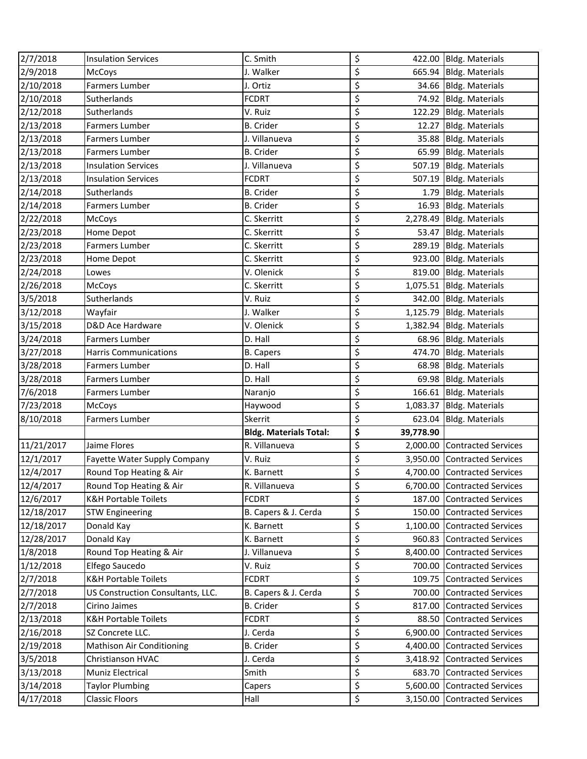| 2/7/2018               | <b>Insulation Services</b>        | C. Smith                      | \$                   | 422.00 Bldg. Materials                            |
|------------------------|-----------------------------------|-------------------------------|----------------------|---------------------------------------------------|
| 2/9/2018               | <b>McCoys</b>                     | J. Walker                     | \$                   | 665.94 Bldg. Materials                            |
| 2/10/2018              | <b>Farmers Lumber</b>             | J. Ortiz                      | \$                   | 34.66 Bldg. Materials                             |
| 2/10/2018              | Sutherlands                       | <b>FCDRT</b>                  | \$                   | 74.92 Bldg. Materials                             |
| 2/12/2018              | Sutherlands                       | V. Ruiz                       | \$                   | 122.29 Bldg. Materials                            |
| 2/13/2018              | Farmers Lumber                    | <b>B.</b> Crider              | \$<br>12.27          | Bldg. Materials                                   |
| 2/13/2018              | Farmers Lumber                    | J. Villanueva                 | \$                   | 35.88 Bldg. Materials                             |
| 2/13/2018              | Farmers Lumber                    | <b>B.</b> Crider              | \$                   | 65.99 Bldg. Materials                             |
| 2/13/2018              | <b>Insulation Services</b>        | J. Villanueva                 | \$                   | 507.19 Bldg. Materials                            |
| 2/13/2018              | <b>Insulation Services</b>        | <b>FCDRT</b>                  | \$                   | 507.19 Bldg. Materials                            |
| 2/14/2018              | Sutherlands                       | <b>B.</b> Crider              | \$                   | 1.79 Bldg. Materials                              |
| 2/14/2018              | Farmers Lumber                    | <b>B.</b> Crider              | \$                   | 16.93 Bldg. Materials                             |
| 2/22/2018              | McCoys                            | C. Skerritt                   | \$                   | 2,278.49 Bldg. Materials                          |
| 2/23/2018              | Home Depot                        | C. Skerritt                   | \$                   | 53.47 Bldg. Materials                             |
| 2/23/2018              | Farmers Lumber                    | C. Skerritt                   | \$                   | 289.19 Bldg. Materials                            |
| 2/23/2018              | Home Depot                        | C. Skerritt                   | \$                   | 923.00 Bldg. Materials                            |
| 2/24/2018              | Lowes                             | V. Olenick                    | \$                   | 819.00 Bldg. Materials                            |
| 2/26/2018              | McCoys                            | C. Skerritt                   | \$                   | 1,075.51 Bldg. Materials                          |
| 3/5/2018               | Sutherlands                       | V. Ruiz                       | \$                   | 342.00 Bldg. Materials                            |
| 3/12/2018              | Wayfair                           | J. Walker                     | \$                   | 1,125.79 Bldg. Materials                          |
| 3/15/2018              | D&D Ace Hardware                  | V. Olenick                    | \$                   | 1,382.94 Bldg. Materials                          |
| 3/24/2018              | <b>Farmers Lumber</b>             | D. Hall                       | \$                   | 68.96 Bldg. Materials                             |
| 3/27/2018              | <b>Harris Communications</b>      | <b>B.</b> Capers              | \$                   | 474.70 Bldg. Materials                            |
| 3/28/2018              | <b>Farmers Lumber</b>             | D. Hall                       | \$                   | 68.98 Bldg. Materials                             |
| 3/28/2018              | <b>Farmers Lumber</b>             | D. Hall                       | \$                   | 69.98 Bldg. Materials                             |
| 7/6/2018               | Farmers Lumber                    | Naranjo                       | \$                   | 166.61 Bldg. Materials                            |
| 7/23/2018              | McCoys                            | Haywood                       | \$                   | 1,083.37 Bldg. Materials                          |
| 8/10/2018              | Farmers Lumber                    | Skerrit                       | \$                   | 623.04 Bldg. Materials                            |
|                        |                                   | <b>Bldg. Materials Total:</b> | \$<br>39,778.90      |                                                   |
| 11/21/2017             | Jaime Flores                      | R. Villanueva                 | \$                   | 2,000.00 Contracted Services                      |
| 12/1/2017              | Fayette Water Supply Company      | V. Ruiz                       | \$                   | 3,950.00 Contracted Services                      |
| 12/4/2017              | Round Top Heating & Air           | K. Barnett                    | \$                   | 4,700.00 Contracted Services                      |
| 12/4/2017              | Round Top Heating & Air           | R. Villanueva                 | \$                   | 6,700.00 Contracted Services                      |
| 12/6/2017              | <b>K&amp;H Portable Toilets</b>   | <b>FCDRT</b>                  | \$                   | 187.00 Contracted Services                        |
| 12/18/2017             | <b>STW Engineering</b>            | B. Capers & J. Cerda          | \$<br>150.00         | <b>Contracted Services</b>                        |
| 12/18/2017             | Donald Kay                        | K. Barnett                    | \$                   | 1,100.00 Contracted Services                      |
| 12/28/2017             | Donald Kay                        | K. Barnett                    | \$                   | 960.83 Contracted Services                        |
| 1/8/2018               | Round Top Heating & Air           | J. Villanueva                 | \$<br>8,400.00       | <b>Contracted Services</b>                        |
| 1/12/2018              | Elfego Saucedo                    | V. Ruiz                       | \$<br>700.00         | <b>Contracted Services</b>                        |
| 2/7/2018               | <b>K&amp;H Portable Toilets</b>   | <b>FCDRT</b>                  | \$<br>109.75         | <b>Contracted Services</b>                        |
| 2/7/2018               | US Construction Consultants, LLC. | B. Capers & J. Cerda          | \$<br>700.00         | <b>Contracted Services</b>                        |
| 2/7/2018               | Cirino Jaimes                     | <b>B.</b> Crider              | \$<br>817.00         | <b>Contracted Services</b>                        |
| 2/13/2018              | <b>K&amp;H Portable Toilets</b>   | <b>FCDRT</b>                  | \$<br>88.50          | <b>Contracted Services</b>                        |
| 2/16/2018              | SZ Concrete LLC.                  | J. Cerda                      | \$<br>6,900.00       | <b>Contracted Services</b>                        |
| 2/19/2018              |                                   |                               | \$<br>4,400.00       | <b>Contracted Services</b>                        |
|                        | Mathison Air Conditioning         | <b>B.</b> Crider              |                      |                                                   |
| 3/5/2018               | Christianson HVAC                 | J. Cerda                      | \$                   | 3,418.92 Contracted Services                      |
| 3/13/2018              | Muniz Electrical                  | Smith                         | \$<br>683.70         | <b>Contracted Services</b>                        |
| 3/14/2018<br>4/17/2018 | <b>Taylor Plumbing</b>            | Capers                        | \$<br>5,600.00<br>\$ | <b>Contracted Services</b><br>Contracted Services |